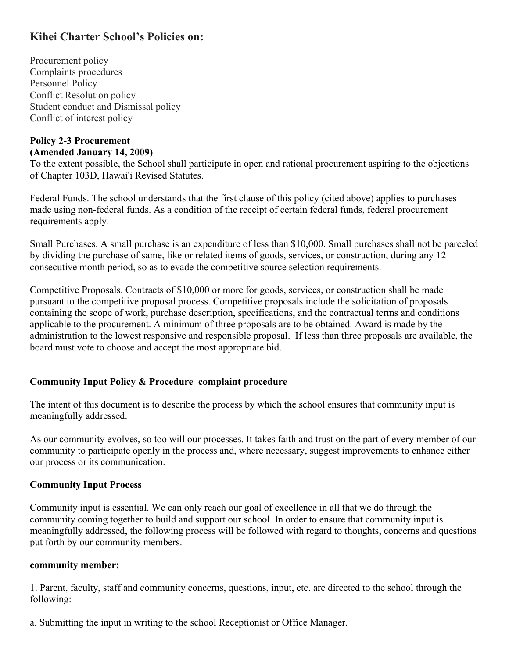# **Kihei Charter School's Policies on:**

Procurement policy Complaints procedures Personnel Policy Conflict Resolution policy Student conduct and Dismissal policy Conflict of interest policy

#### **Policy 2-3 Procurement (Amended January 14, 2009)**

To the extent possible, the School shall participate in open and rational procurement aspiring to the objections of Chapter 103D, Hawai'i Revised Statutes.

Federal Funds. The school understands that the first clause of this policy (cited above) applies to purchases made using non-federal funds. As a condition of the receipt of certain federal funds, federal procurement requirements apply.

Small Purchases. A small purchase is an expenditure of less than \$10,000. Small purchases shall not be parceled by dividing the purchase of same, like or related items of goods, services, or construction, during any 12 consecutive month period, so as to evade the competitive source selection requirements.

Competitive Proposals. Contracts of \$10,000 or more for goods, services, or construction shall be made pursuant to the competitive proposal process. Competitive proposals include the solicitation of proposals containing the scope of work, purchase description, specifications, and the contractual terms and conditions applicable to the procurement. A minimum of three proposals are to be obtained. Award is made by the administration to the lowest responsive and responsible proposal. If less than three proposals are available, the board must vote to choose and accept the most appropriate bid.

### **Community Input Policy & Procedure complaint procedure**

The intent of this document is to describe the process by which the school ensures that community input is meaningfully addressed.

As our community evolves, so too will our processes. It takes faith and trust on the part of every member of our community to participate openly in the process and, where necessary, suggest improvements to enhance either our process or its communication.

### **Community Input Process**

Community input is essential. We can only reach our goal of excellence in all that we do through the community coming together to build and support our school. In order to ensure that community input is meaningfully addressed, the following process will be followed with regard to thoughts, concerns and questions put forth by our community members.

#### **community member:**

1. Parent, faculty, staff and community concerns, questions, input, etc. are directed to the school through the following:

a. Submitting the input in writing to the school Receptionist or Office Manager.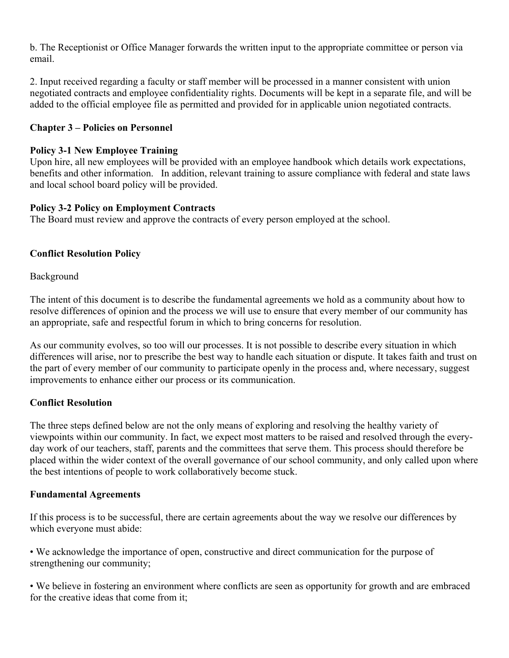b. The Receptionist or Office Manager forwards the written input to the appropriate committee or person via email.

2. Input received regarding a faculty or staff member will be processed in a manner consistent with union negotiated contracts and employee confidentiality rights. Documents will be kept in a separate file, and will be added to the official employee file as permitted and provided for in applicable union negotiated contracts.

# **Chapter 3 – Policies on Personnel**

### **Policy 3-1 New Employee Training**

Upon hire, all new employees will be provided with an employee handbook which details work expectations, benefits and other information. In addition, relevant training to assure compliance with federal and state laws and local school board policy will be provided.

### **Policy 3-2 Policy on Employment Contracts**

The Board must review and approve the contracts of every person employed at the school.

# **Conflict Resolution Policy**

Background

The intent of this document is to describe the fundamental agreements we hold as a community about how to resolve differences of opinion and the process we will use to ensure that every member of our community has an appropriate, safe and respectful forum in which to bring concerns for resolution.

As our community evolves, so too will our processes. It is not possible to describe every situation in which differences will arise, nor to prescribe the best way to handle each situation or dispute. It takes faith and trust on the part of every member of our community to participate openly in the process and, where necessary, suggest improvements to enhance either our process or its communication.

### **Conflict Resolution**

The three steps defined below are not the only means of exploring and resolving the healthy variety of viewpoints within our community. In fact, we expect most matters to be raised and resolved through the everyday work of our teachers, staff, parents and the committees that serve them. This process should therefore be placed within the wider context of the overall governance of our school community, and only called upon where the best intentions of people to work collaboratively become stuck.

### **Fundamental Agreements**

If this process is to be successful, there are certain agreements about the way we resolve our differences by which everyone must abide:

• We acknowledge the importance of open, constructive and direct communication for the purpose of strengthening our community;

• We believe in fostering an environment where conflicts are seen as opportunity for growth and are embraced for the creative ideas that come from it;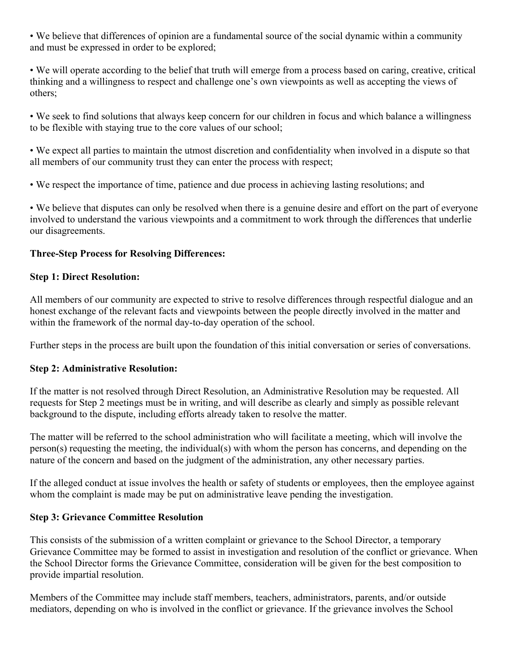• We believe that differences of opinion are a fundamental source of the social dynamic within a community and must be expressed in order to be explored;

• We will operate according to the belief that truth will emerge from a process based on caring, creative, critical thinking and a willingness to respect and challenge one's own viewpoints as well as accepting the views of others;

• We seek to find solutions that always keep concern for our children in focus and which balance a willingness to be flexible with staying true to the core values of our school;

• We expect all parties to maintain the utmost discretion and confidentiality when involved in a dispute so that all members of our community trust they can enter the process with respect;

• We respect the importance of time, patience and due process in achieving lasting resolutions; and

• We believe that disputes can only be resolved when there is a genuine desire and effort on the part of everyone involved to understand the various viewpoints and a commitment to work through the differences that underlie our disagreements.

# **Three-Step Process for Resolving Differences:**

# **Step 1: Direct Resolution:**

All members of our community are expected to strive to resolve differences through respectful dialogue and an honest exchange of the relevant facts and viewpoints between the people directly involved in the matter and within the framework of the normal day-to-day operation of the school.

Further steps in the process are built upon the foundation of this initial conversation or series of conversations.

# **Step 2: Administrative Resolution:**

If the matter is not resolved through Direct Resolution, an Administrative Resolution may be requested. All requests for Step 2 meetings must be in writing, and will describe as clearly and simply as possible relevant background to the dispute, including efforts already taken to resolve the matter.

The matter will be referred to the school administration who will facilitate a meeting, which will involve the person(s) requesting the meeting, the individual(s) with whom the person has concerns, and depending on the nature of the concern and based on the judgment of the administration, any other necessary parties.

If the alleged conduct at issue involves the health or safety of students or employees, then the employee against whom the complaint is made may be put on administrative leave pending the investigation.

# **Step 3: Grievance Committee Resolution**

This consists of the submission of a written complaint or grievance to the School Director, a temporary Grievance Committee may be formed to assist in investigation and resolution of the conflict or grievance. When the School Director forms the Grievance Committee, consideration will be given for the best composition to provide impartial resolution.

Members of the Committee may include staff members, teachers, administrators, parents, and/or outside mediators, depending on who is involved in the conflict or grievance. If the grievance involves the School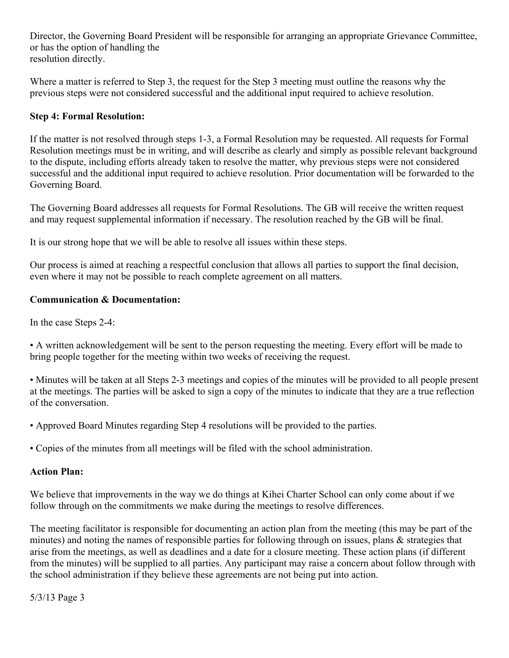Director, the Governing Board President will be responsible for arranging an appropriate Grievance Committee, or has the option of handling the resolution directly.

Where a matter is referred to Step 3, the request for the Step 3 meeting must outline the reasons why the previous steps were not considered successful and the additional input required to achieve resolution.

# **Step 4: Formal Resolution:**

If the matter is not resolved through steps 1-3, a Formal Resolution may be requested. All requests for Formal Resolution meetings must be in writing, and will describe as clearly and simply as possible relevant background to the dispute, including efforts already taken to resolve the matter, why previous steps were not considered successful and the additional input required to achieve resolution. Prior documentation will be forwarded to the Governing Board.

The Governing Board addresses all requests for Formal Resolutions. The GB will receive the written request and may request supplemental information if necessary. The resolution reached by the GB will be final.

It is our strong hope that we will be able to resolve all issues within these steps.

Our process is aimed at reaching a respectful conclusion that allows all parties to support the final decision, even where it may not be possible to reach complete agreement on all matters.

# **Communication & Documentation:**

In the case Steps 2-4:

• A written acknowledgement will be sent to the person requesting the meeting. Every effort will be made to bring people together for the meeting within two weeks of receiving the request.

• Minutes will be taken at all Steps 2-3 meetings and copies of the minutes will be provided to all people present at the meetings. The parties will be asked to sign a copy of the minutes to indicate that they are a true reflection of the conversation.

• Approved Board Minutes regarding Step 4 resolutions will be provided to the parties.

• Copies of the minutes from all meetings will be filed with the school administration.

### **Action Plan:**

We believe that improvements in the way we do things at Kihei Charter School can only come about if we follow through on the commitments we make during the meetings to resolve differences.

The meeting facilitator is responsible for documenting an action plan from the meeting (this may be part of the minutes) and noting the names of responsible parties for following through on issues, plans & strategies that arise from the meetings, as well as deadlines and a date for a closure meeting. These action plans (if different from the minutes) will be supplied to all parties. Any participant may raise a concern about follow through with the school administration if they believe these agreements are not being put into action.

5/3/13 Page 3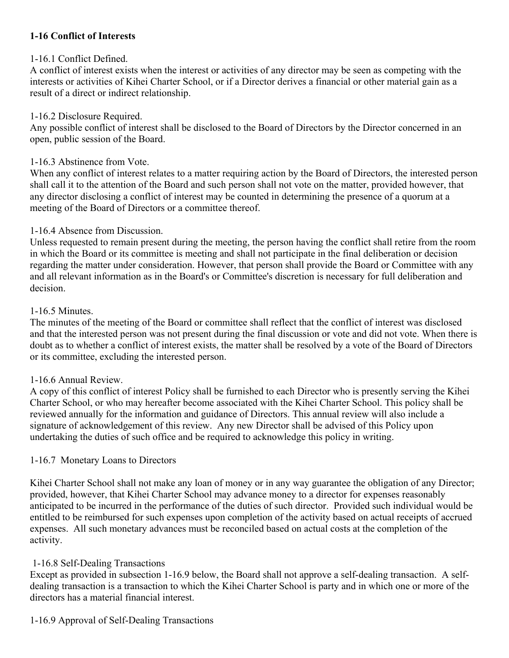# **1-16 Conflict of Interests**

### 1-16.1 Conflict Defined.

A conflict of interest exists when the interest or activities of any director may be seen as competing with the interests or activities of Kihei Charter School, or if a Director derives a financial or other material gain as a result of a direct or indirect relationship.

#### 1-16.2 Disclosure Required.

Any possible conflict of interest shall be disclosed to the Board of Directors by the Director concerned in an open, public session of the Board.

#### 1-16.3 Abstinence from Vote.

When any conflict of interest relates to a matter requiring action by the Board of Directors, the interested person shall call it to the attention of the Board and such person shall not vote on the matter, provided however, that any director disclosing a conflict of interest may be counted in determining the presence of a quorum at a meeting of the Board of Directors or a committee thereof.

### 1-16.4 Absence from Discussion.

Unless requested to remain present during the meeting, the person having the conflict shall retire from the room in which the Board or its committee is meeting and shall not participate in the final deliberation or decision regarding the matter under consideration. However, that person shall provide the Board or Committee with any and all relevant information as in the Board's or Committee's discretion is necessary for full deliberation and decision.

#### 1-16.5 Minutes.

The minutes of the meeting of the Board or committee shall reflect that the conflict of interest was disclosed and that the interested person was not present during the final discussion or vote and did not vote. When there is doubt as to whether a conflict of interest exists, the matter shall be resolved by a vote of the Board of Directors or its committee, excluding the interested person.

### 1-16.6 Annual Review.

A copy of this conflict of interest Policy shall be furnished to each Director who is presently serving the Kihei Charter School, or who may hereafter become associated with the Kihei Charter School. This policy shall be reviewed annually for the information and guidance of Directors. This annual review will also include a signature of acknowledgement of this review. Any new Director shall be advised of this Policy upon undertaking the duties of such office and be required to acknowledge this policy in writing.

### 1-16.7 Monetary Loans to Directors

Kihei Charter School shall not make any loan of money or in any way guarantee the obligation of any Director; provided, however, that Kihei Charter School may advance money to a director for expenses reasonably anticipated to be incurred in the performance of the duties of such director. Provided such individual would be entitled to be reimbursed for such expenses upon completion of the activity based on actual receipts of accrued expenses. All such monetary advances must be reconciled based on actual costs at the completion of the activity.

### 1-16.8 Self-Dealing Transactions

Except as provided in subsection 1-16.9 below, the Board shall not approve a self-dealing transaction. A selfdealing transaction is a transaction to which the Kihei Charter School is party and in which one or more of the directors has a material financial interest.

### 1-16.9 Approval of Self-Dealing Transactions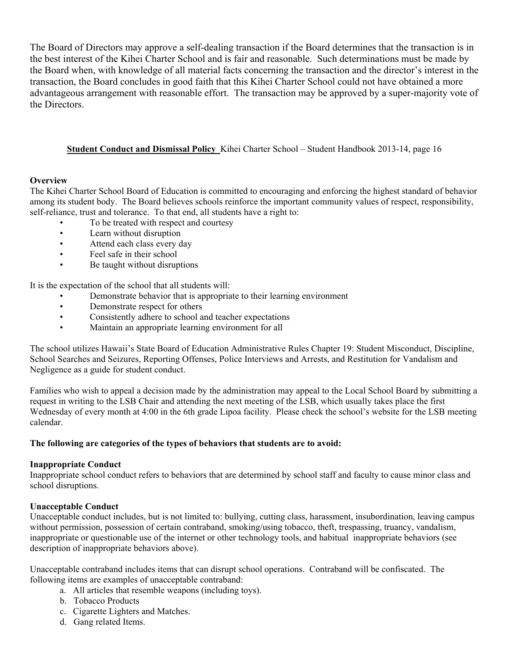The Board of Directors may approve a self-dealing transaction if the Board determines that the transaction is in the best interest of the Kihei Charter School and is fair and reasonable. Such determinations must be made by the Board when, with knowledge of all material facts concerning the transaction and the director's interest in the transaction, the Board concludes in good faith that this Kihei Charter School could not have obtained a more advantageous arrangement with reasonable effort. The transaction may be approved by a super-majority vote of the Directors.

#### **Student Conduct and Dismissal Policy** Kihei Charter School – Student Handbook 2013-14, page 16

#### **Overview**

The Kihei Charter School Board of Education is committed to encouraging and enforcing the highest standard of behavior among its student body. The Board believes schools reinforce the important community values of respect, responsibility, self-reliance, trust and tolerance. To that end, all students have a right to:

- To be treated with respect and courtesy
- Learn without disruption
- Attend each class every day
- Feel safe in their school
- Be taught without disruptions

It is the expectation of the school that all students will:

- Demonstrate behavior that is appropriate to their learning environment
- Demonstrate respect for others
- Consistently adhere to school and teacher expectations
- Maintain an appropriate learning environment for all

The school utilizes Hawaii's State Board of Education Administrative Rules Chapter 19: Student Misconduct, Discipline, School Searches and Seizures, Reporting Offenses, Police Interviews and Arrests, and Restitution for Vandalism and Negligence as a guide for student conduct.

Families who wish to appeal a decision made by the administration may appeal to the Local School Board by submitting a request in writing to the LSB Chair and attending the next meeting of the LSB, which usually takes place the first Wednesday of every month at 4:00 in the 6th grade Lipoa facility. Please check the school's website for the LSB meeting calendar.

#### **The following are categories of the types of behaviors that students are to avoid:**

#### **Inappropriate Conduct**

Inappropriate school conduct refers to behaviors that are determined by school staff and faculty to cause minor class and school disruptions.

#### **Unacceptable Conduct**

Unacceptable conduct includes, but is not limited to: bullying, cutting class, harassment, insubordination, leaving campus without permission, possession of certain contraband, smoking/using tobacco, theft, trespassing, truancy, vandalism, inappropriate or questionable use of the internet or other technology tools, and habitual inappropriate behaviors (see description of inappropriate behaviors above).

Unacceptable contraband includes items that can disrupt school operations. Contraband will be confiscated. The following items are examples of unacceptable contraband:

- a. All articles that resemble weapons (including toys).
- b. Tobacco Products
- c. Cigarette Lighters and Matches.
- d. Gang related Items.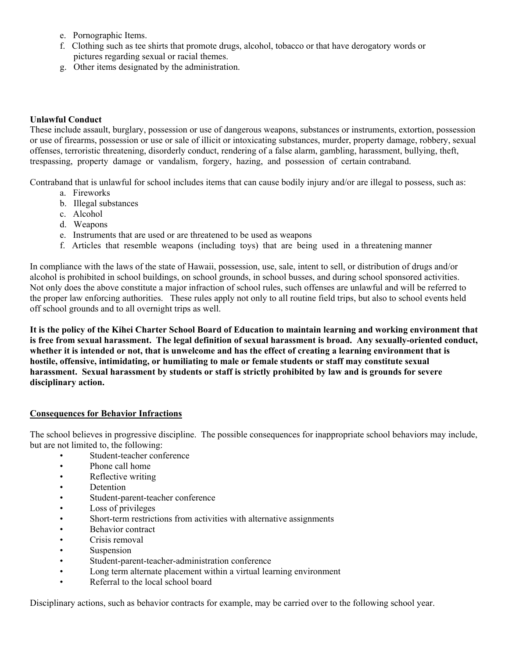- e. Pornographic Items.
- f. Clothing such as tee shirts that promote drugs, alcohol, tobacco or that have derogatory words or pictures regarding sexual or racial themes.
- g. Other items designated by the administration.

#### **Unlawful Conduct**

These include assault, burglary, possession or use of dangerous weapons, substances or instruments, extortion, possession or use of firearms, possession or use or sale of illicit or intoxicating substances, murder, property damage, robbery, sexual offenses, terroristic threatening, disorderly conduct, rendering of a false alarm, gambling, harassment, bullying, theft, trespassing, property damage or vandalism, forgery, hazing, and possession of certain contraband.

Contraband that is unlawful for school includes items that can cause bodily injury and/or are illegal to possess, such as:

- a. Fireworks
- b. Illegal substances
- c. Alcohol
- d. Weapons
- e. Instruments that are used or are threatened to be used as weapons
- f. Articles that resemble weapons (including toys) that are being used in a threatening manner

In compliance with the laws of the state of Hawaii, possession, use, sale, intent to sell, or distribution of drugs and/or alcohol is prohibited in school buildings, on school grounds, in school busses, and during school sponsored activities. Not only does the above constitute a major infraction of school rules, such offenses are unlawful and will be referred to the proper law enforcing authorities. These rules apply not only to all routine field trips, but also to school events held off school grounds and to all overnight trips as well.

**It is the policy of the Kihei Charter School Board of Education to maintain learning and working environment that is free from sexual harassment. The legal definition of sexual harassment is broad. Any sexually-oriented conduct, whether it is intended or not, that is unwelcome and has the effect of creating a learning environment that is hostile, offensive, intimidating, or humiliating to male or female students or staff may constitute sexual harassment. Sexual harassment by students or staff is strictly prohibited by law and is grounds for severe disciplinary action.** 

#### **Consequences for Behavior Infractions**

The school believes in progressive discipline. The possible consequences for inappropriate school behaviors may include, but are not limited to, the following:

- Student-teacher conference
- Phone call home
- Reflective writing
- Detention
- Student-parent-teacher conference
- Loss of privileges
- Short-term restrictions from activities with alternative assignments
- Behavior contract
- Crisis removal
- Suspension
- Student-parent-teacher-administration conference
- Long term alternate placement within a virtual learning environment
- Referral to the local school board

Disciplinary actions, such as behavior contracts for example, may be carried over to the following school year.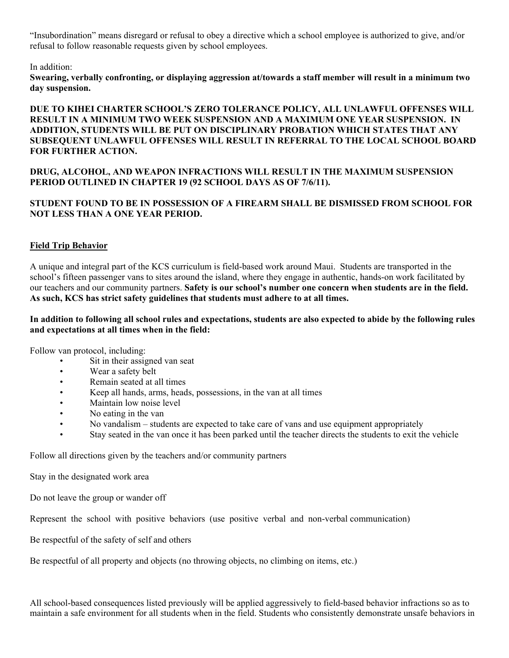"Insubordination" means disregard or refusal to obey a directive which a school employee is authorized to give, and/or refusal to follow reasonable requests given by school employees.

#### In addition:

**Swearing, verbally confronting, or displaying aggression at/towards a staff member will result in a minimum two day suspension.** 

#### **DUE TO KIHEI CHARTER SCHOOL'S ZERO TOLERANCE POLICY, ALL UNLAWFUL OFFENSES WILL RESULT IN A MINIMUM TWO WEEK SUSPENSION AND A MAXIMUM ONE YEAR SUSPENSION. IN ADDITION, STUDENTS WILL BE PUT ON DISCIPLINARY PROBATION WHICH STATES THAT ANY SUBSEQUENT UNLAWFUL OFFENSES WILL RESULT IN REFERRAL TO THE LOCAL SCHOOL BOARD FOR FURTHER ACTION.**

#### **DRUG, ALCOHOL, AND WEAPON INFRACTIONS WILL RESULT IN THE MAXIMUM SUSPENSION PERIOD OUTLINED IN CHAPTER 19 (92 SCHOOL DAYS AS OF 7/6/11).**

#### **STUDENT FOUND TO BE IN POSSESSION OF A FIREARM SHALL BE DISMISSED FROM SCHOOL FOR NOT LESS THAN A ONE YEAR PERIOD.**

#### **Field Trip Behavior**

A unique and integral part of the KCS curriculum is field-based work around Maui. Students are transported in the school's fifteen passenger vans to sites around the island, where they engage in authentic, hands-on work facilitated by our teachers and our community partners. **Safety is our school's number one concern when students are in the field. As such, KCS has strict safety guidelines that students must adhere to at all times.**

#### **In addition to following all school rules and expectations, students are also expected to abide by the following rules and expectations at all times when in the field:**

Follow van protocol, including:

- Sit in their assigned van seat
- Wear a safety belt
- Remain seated at all times
- Keep all hands, arms, heads, possessions, in the van at all times
- Maintain low noise level
- No eating in the van
- No vandalism students are expected to take care of vans and use equipment appropriately
- Stay seated in the van once it has been parked until the teacher directs the students to exit the vehicle

Follow all directions given by the teachers and/or community partners

Stay in the designated work area

Do not leave the group or wander off

Represent the school with positive behaviors (use positive verbal and non-verbal communication)

Be respectful of the safety of self and others

Be respectful of all property and objects (no throwing objects, no climbing on items, etc.)

All school-based consequences listed previously will be applied aggressively to field-based behavior infractions so as to maintain a safe environment for all students when in the field. Students who consistently demonstrate unsafe behaviors in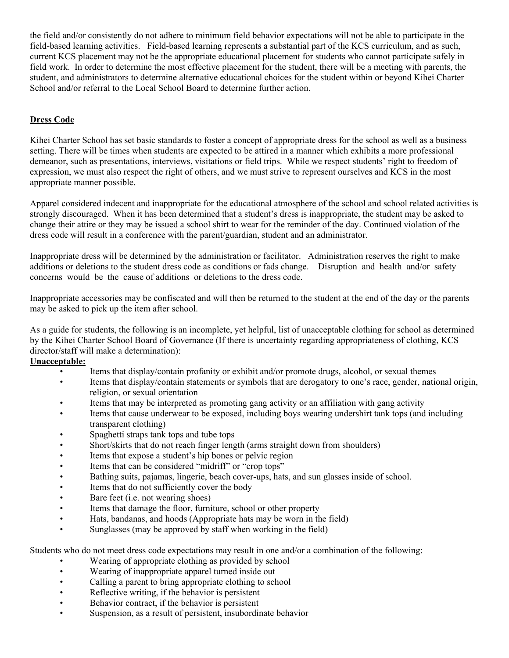the field and/or consistently do not adhere to minimum field behavior expectations will not be able to participate in the field-based learning activities. Field-based learning represents a substantial part of the KCS curriculum, and as such, current KCS placement may not be the appropriate educational placement for students who cannot participate safely in field work. In order to determine the most effective placement for the student, there will be a meeting with parents, the student, and administrators to determine alternative educational choices for the student within or beyond Kihei Charter School and/or referral to the Local School Board to determine further action.

#### **Dress Code**

Kihei Charter School has set basic standards to foster a concept of appropriate dress for the school as well as a business setting. There will be times when students are expected to be attired in a manner which exhibits a more professional demeanor, such as presentations, interviews, visitations or field trips. While we respect students' right to freedom of expression, we must also respect the right of others, and we must strive to represent ourselves and KCS in the most appropriate manner possible.

Apparel considered indecent and inappropriate for the educational atmosphere of the school and school related activities is strongly discouraged. When it has been determined that a student's dress is inappropriate, the student may be asked to change their attire or they may be issued a school shirt to wear for the reminder of the day. Continued violation of the dress code will result in a conference with the parent/guardian, student and an administrator.

Inappropriate dress will be determined by the administration or facilitator. Administration reserves the right to make additions or deletions to the student dress code as conditions or fads change. Disruption and health and/or safety concerns would be the cause of additions or deletions to the dress code.

Inappropriate accessories may be confiscated and will then be returned to the student at the end of the day or the parents may be asked to pick up the item after school.

As a guide for students, the following is an incomplete, yet helpful, list of unacceptable clothing for school as determined by the Kihei Charter School Board of Governance (If there is uncertainty regarding appropriateness of clothing, KCS director/staff will make a determination):

#### **Unacceptable:**

- Items that display/contain profanity or exhibit and/or promote drugs, alcohol, or sexual themes
- Items that display/contain statements or symbols that are derogatory to one's race, gender, national origin, religion, or sexual orientation
- Items that may be interpreted as promoting gang activity or an affiliation with gang activity
- Items that cause underwear to be exposed, including boys wearing undershirt tank tops (and including transparent clothing)
- Spaghetti straps tank tops and tube tops
- Short/skirts that do not reach finger length (arms straight down from shoulders)
- Items that expose a student's hip bones or pelvic region
- Items that can be considered "midriff" or "crop tops"
- Bathing suits, pajamas, lingerie, beach cover-ups, hats, and sun glasses inside of school.
- Items that do not sufficiently cover the body
- Bare feet (i.e. not wearing shoes)
- Items that damage the floor, furniture, school or other property
- Hats, bandanas, and hoods (Appropriate hats may be worn in the field)
- Sunglasses (may be approved by staff when working in the field)

Students who do not meet dress code expectations may result in one and/or a combination of the following:

- Wearing of appropriate clothing as provided by school
- Wearing of inappropriate apparel turned inside out
- Calling a parent to bring appropriate clothing to school
- Reflective writing, if the behavior is persistent
- Behavior contract, if the behavior is persistent
- Suspension, as a result of persistent, insubordinate behavior